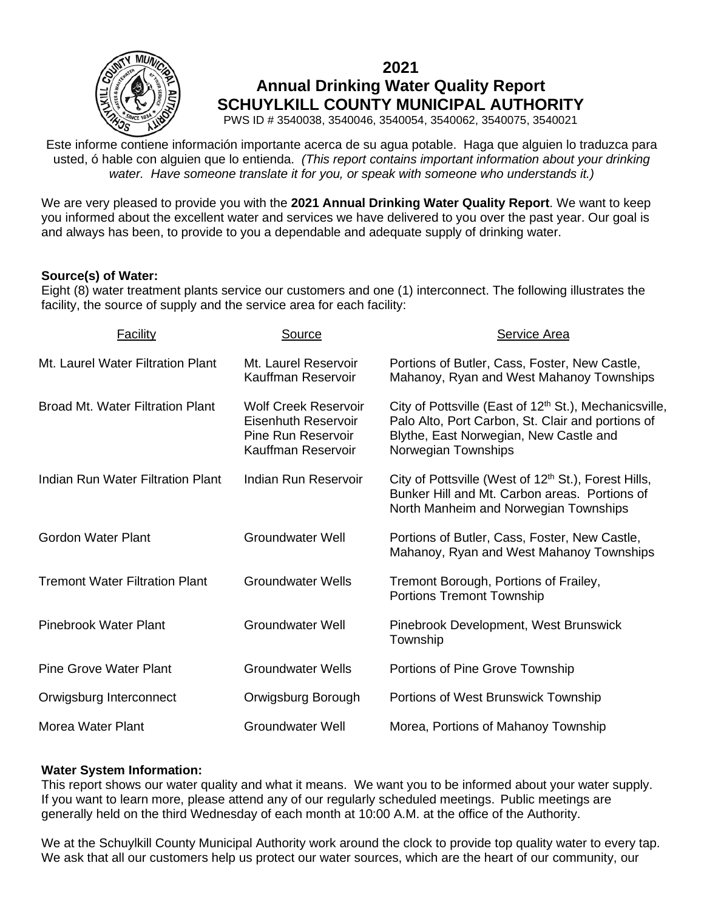

# **2021 Annual Drinking Water Quality Report SCHUYLKILL COUNTY MUNICIPAL AUTHORITY**

PWS ID # 3540038, 3540046, 3540054, 3540062, 3540075, 3540021

Este informe contiene información importante acerca de su agua potable. Haga que alguien lo traduzca para usted, ó hable con alguien que lo entienda. *(This report contains important information about your drinking water. Have someone translate it for you, or speak with someone who understands it.)*

We are very pleased to provide you with the **2021 Annual Drinking Water Quality Report**. We want to keep you informed about the excellent water and services we have delivered to you over the past year. Our goal is and always has been, to provide to you a dependable and adequate supply of drinking water.

## **Source(s) of Water:**

Eight (8) water treatment plants service our customers and one (1) interconnect. The following illustrates the facility, the source of supply and the service area for each facility:

| Facility                                | Source                                                                                         | Service Area                                                                                                                                                                             |
|-----------------------------------------|------------------------------------------------------------------------------------------------|------------------------------------------------------------------------------------------------------------------------------------------------------------------------------------------|
| Mt. Laurel Water Filtration Plant       | Mt. Laurel Reservoir<br>Kauffman Reservoir                                                     | Portions of Butler, Cass, Foster, New Castle,<br>Mahanoy, Ryan and West Mahanoy Townships                                                                                                |
| <b>Broad Mt. Water Filtration Plant</b> | <b>Wolf Creek Reservoir</b><br>Eisenhuth Reservoir<br>Pine Run Reservoir<br>Kauffman Reservoir | City of Pottsville (East of 12 <sup>th</sup> St.), Mechanicsville,<br>Palo Alto, Port Carbon, St. Clair and portions of<br>Blythe, East Norwegian, New Castle and<br>Norwegian Townships |
| Indian Run Water Filtration Plant       | Indian Run Reservoir                                                                           | City of Pottsville (West of 12 <sup>th</sup> St.), Forest Hills,<br>Bunker Hill and Mt. Carbon areas. Portions of<br>North Manheim and Norwegian Townships                               |
| Gordon Water Plant                      | <b>Groundwater Well</b>                                                                        | Portions of Butler, Cass, Foster, New Castle,<br>Mahanoy, Ryan and West Mahanoy Townships                                                                                                |
| <b>Tremont Water Filtration Plant</b>   | <b>Groundwater Wells</b>                                                                       | Tremont Borough, Portions of Frailey,<br>Portions Tremont Township                                                                                                                       |
| Pinebrook Water Plant                   | <b>Groundwater Well</b>                                                                        | Pinebrook Development, West Brunswick<br>Township                                                                                                                                        |
| <b>Pine Grove Water Plant</b>           | <b>Groundwater Wells</b>                                                                       | Portions of Pine Grove Township                                                                                                                                                          |
| Orwigsburg Interconnect                 | Orwigsburg Borough                                                                             | Portions of West Brunswick Township                                                                                                                                                      |
| <b>Morea Water Plant</b>                | <b>Groundwater Well</b>                                                                        | Morea, Portions of Mahanoy Township                                                                                                                                                      |

## **Water System Information:**

This report shows our water quality and what it means. We want you to be informed about your water supply. If you want to learn more, please attend any of our regularly scheduled meetings.Public meetings are generally held on the third Wednesday of each month at 10:00 A.M. at the office of the Authority.

We at the Schuylkill County Municipal Authority work around the clock to provide top quality water to every tap. We ask that all our customers help us protect our water sources, which are the heart of our community, our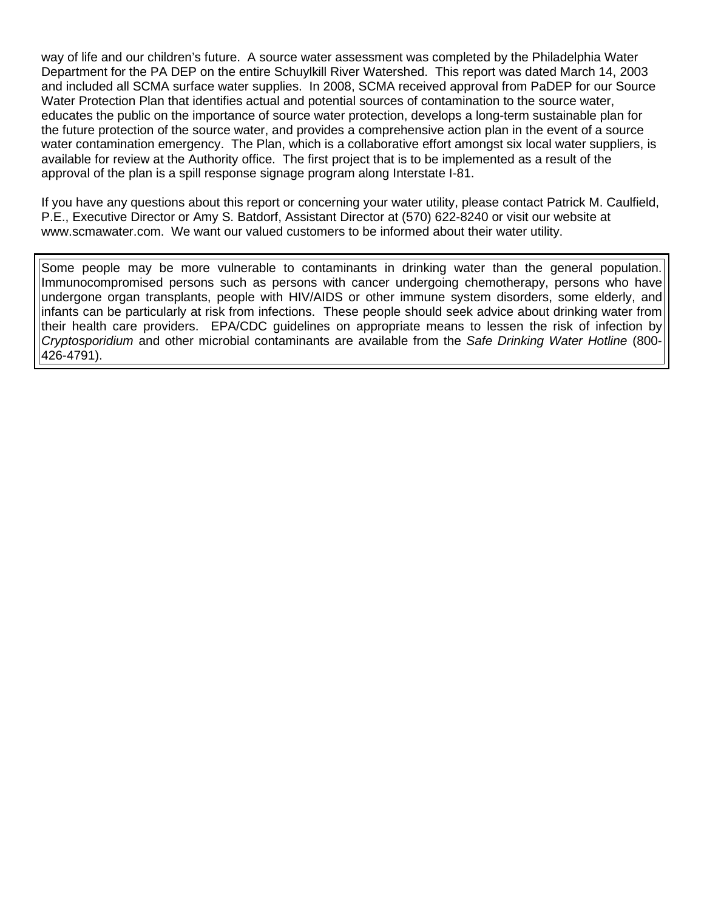way of life and our children's future. A source water assessment was completed by the Philadelphia Water Department for the PA DEP on the entire Schuylkill River Watershed. This report was dated March 14, 2003 and included all SCMA surface water supplies. In 2008, SCMA received approval from PaDEP for our Source Water Protection Plan that identifies actual and potential sources of contamination to the source water, educates the public on the importance of source water protection, develops a long-term sustainable plan for the future protection of the source water, and provides a comprehensive action plan in the event of a source water contamination emergency. The Plan, which is a collaborative effort amongst six local water suppliers, is available for review at the Authority office. The first project that is to be implemented as a result of the approval of the plan is a spill response signage program along Interstate I-81.

If you have any questions about this report or concerning your water utility, please contact Patrick M. Caulfield, P.E., Executive Director or Amy S. Batdorf, Assistant Director at (570) 622-8240 or visit our website at www.scmawater.com. We want our valued customers to be informed about their water utility.

Some people may be more vulnerable to contaminants in drinking water than the general population. Immunocompromised persons such as persons with cancer undergoing chemotherapy, persons who have undergone organ transplants, people with HIV/AIDS or other immune system disorders, some elderly, and infants can be particularly at risk from infections. These people should seek advice about drinking water from their health care providers. EPA/CDC guidelines on appropriate means to lessen the risk of infection by *Cryptosporidium* and other microbial contaminants are available from the *Safe Drinking Water Hotline* (800- 426-4791).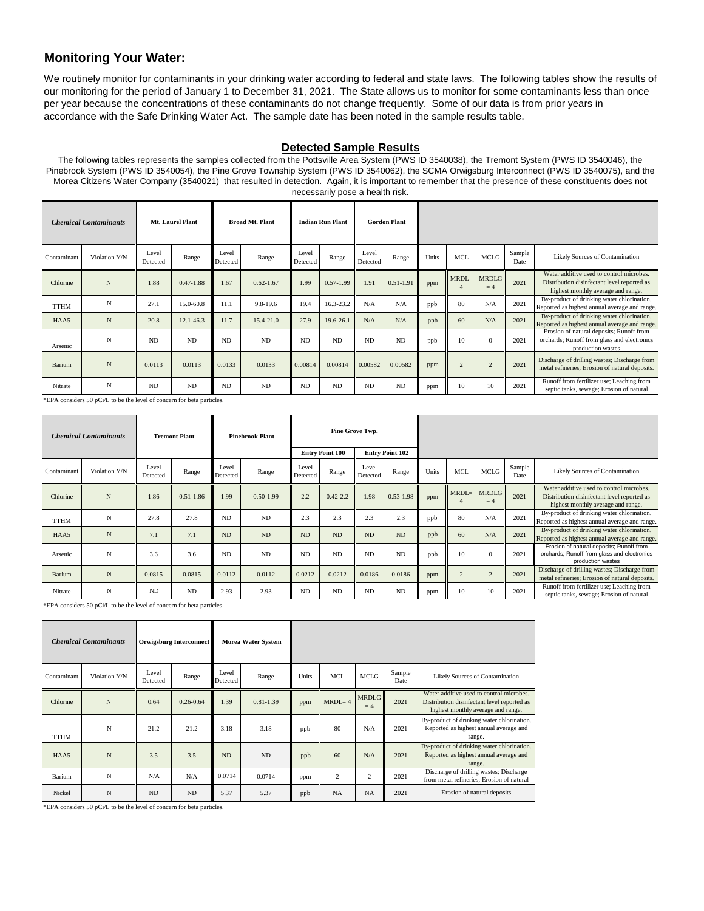#### **Monitoring Your Water:**

We routinely monitor for contaminants in your drinking water according to federal and state laws. The following tables show the results of our monitoring for the period of January 1 to December 31, 2021. The State allows us to monitor for some contaminants less than once per year because the concentrations of these contaminants do not change frequently. Some of our data is from prior years in accordance with the Safe Drinking Water Act. The sample date has been noted in the sample results table.

#### **Detected Sample Results**

The following tables represents the samples collected from the Pottsville Area System (PWS ID 3540038), the Tremont System (PWS ID 3540046), the Pinebrook System (PWS ID 3540054), the Pine Grove Township System (PWS ID 3540062), the SCMA Orwigsburg Interconnect (PWS ID 3540075), and the Morea Citizens Water Company (3540021) that resulted in detection. Again, it is important to remember that the presence of these constituents does not necessarily pose a health risk.

|             | <b>Chemical Contaminants</b> |                   | Mt. Laurel Plant |                   | <b>Broad Mt. Plant</b> |                   | <b>Indian Run Plant</b> |                   | <b>Gordon Plant</b> |       |            |                      |                |                                                                                                                               |
|-------------|------------------------------|-------------------|------------------|-------------------|------------------------|-------------------|-------------------------|-------------------|---------------------|-------|------------|----------------------|----------------|-------------------------------------------------------------------------------------------------------------------------------|
| Contaminant | Violation Y/N                | Level<br>Detected | Range            | Level<br>Detected | Range                  | Level<br>Detected | Range                   | Level<br>Detected | Range               | Units | <b>MCL</b> | <b>MCLG</b>          | Sample<br>Date | Likely Sources of Contamination                                                                                               |
| Chlorine    | N                            | 1.88              | $0.47 - 1.88$    | 1.67              | $0.62 - 1.67$          | 1.99              | $0.57 - 1.99$           | 1.91              | $0.51 - 1.91$       | ppm   | $MRDL=$    | <b>MRDLG</b><br>$=4$ | 2021           | Water additive used to control microbes.<br>Distribution disinfectant level reported as<br>highest monthly average and range. |
| <b>TTHM</b> | N                            | 27.1              | 15.0-60.8        | 11.1              | $9.8 - 19.6$           | 19.4              | 16.3-23.2               | N/A               | N/A                 | ppb   | 80         | N/A                  | 2021           | By-product of drinking water chlorination.<br>Reported as highest annual average and range.                                   |
| HAA5        | $\mathbf N$                  | 20.8              | $12.1 - 46.3$    | 11.7              | $15.4 - 21.0$          | 27.9              | 19.6-26.1               | N/A               | N/A                 | ppb   | 60         | N/A                  | 2021           | By-product of drinking water chlorination.<br>Reported as highest annual average and range.                                   |
| Arsenic     | N                            | <b>ND</b>         | <b>ND</b>        | <b>ND</b>         | ND.                    | ND.               | N <sub>D</sub>          | ND.               | <b>ND</b>           | ppb   | 10         | $\mathbf{0}$         | 2021           | Erosion of natural deposits; Runoff from<br>orchards; Runoff from glass and electronics<br>production wastes                  |
| Barium      | N                            | 0.0113            | 0.0113           | 0.0133            | 0.0133                 | 0.00814           | 0.00814                 | 0.00582           | 0.00582             | ppm   |            | $\overline{c}$       | 2021           | Discharge of drilling wastes; Discharge from<br>metal refineries; Erosion of natural deposits.                                |
| Nitrate     | N                            | <b>ND</b>         | <b>ND</b>        | <b>ND</b>         | <b>ND</b>              | <b>ND</b>         | <b>ND</b>               | <b>ND</b>         | <b>ND</b>           | ppm   | 10         | 10                   | 2021           | Runoff from fertilizer use; Leaching from<br>septic tanks, sewage; Erosion of natural                                         |

\*EPA considers 50 pCi/L to be the level of concern for beta particles.

|             | <b>Chemical Contaminants</b> |                   | <b>Tremont Plant</b> |                   | <b>Pinebrook Plant</b> |                   |                        | Pine Grove Twp.   |                        |       |                |                      |                |                                                                                                                               |
|-------------|------------------------------|-------------------|----------------------|-------------------|------------------------|-------------------|------------------------|-------------------|------------------------|-------|----------------|----------------------|----------------|-------------------------------------------------------------------------------------------------------------------------------|
|             |                              |                   |                      |                   |                        |                   | <b>Entry Point 100</b> |                   | <b>Entry Point 102</b> |       |                |                      |                |                                                                                                                               |
| Contaminant | Violation Y/N                | Level<br>Detected | Range                | Level<br>Detected | Range                  | Level<br>Detected | Range                  | Level<br>Detected | Range                  | Units | <b>MCL</b>     | <b>MCLG</b>          | Sample<br>Date | Likely Sources of Contamination                                                                                               |
| Chlorine    | N                            | 1.86              | $0.51 - 1.86$        | 1.99              | $0.50 - 1.99$          | 2.2               | $0.42 - 2.2$           | 1.98              | $0.53 - 1.98$          | ppm   | $MRDL=$        | <b>MRDLG</b><br>$=4$ | 2021           | Water additive used to control microbes.<br>Distribution disinfectant level reported as<br>highest monthly average and range. |
| <b>TTHM</b> | N                            | 27.8              | 27.8                 | <b>ND</b>         | ND                     | 2.3               | 2.3                    | 2.3               | 2.3                    | ppb   | 80             | N/A                  | 2021           | By-product of drinking water chlorination.<br>Reported as highest annual average and range.                                   |
| HAA5        | N                            | 7.1               | 7.1                  | <b>ND</b>         | ND                     | <b>ND</b>         | <b>ND</b>              | <b>ND</b>         | <b>ND</b>              | ppb   | 60             | N/A                  | 2021           | By-product of drinking water chlorination.<br>Reported as highest annual average and range.                                   |
| Arsenic     | N                            | 3.6               | 3.6                  | N <sub>D</sub>    | <b>ND</b>              | N <sub>D</sub>    | N <sub>D</sub>         | <b>ND</b>         | <b>ND</b>              | ppb   | 10             | $\mathbf{0}$         | 2021           | Erosion of natural deposits; Runoff from<br>orchards; Runoff from glass and electronics<br>production wastes                  |
| Barium      | N                            | 0.0815            | 0.0815               | 0.0112            | 0.0112                 | 0.0212            | 0.0212                 | 0.0186            | 0.0186                 | ppm   | $\overline{c}$ | $\overline{2}$       | 2021           | Discharge of drilling wastes; Discharge from<br>metal refineries; Erosion of natural deposits.                                |
| Nitrate     | N                            | <b>ND</b>         | ND                   | 2.93              | 2.93                   | <b>ND</b>         | <b>ND</b>              | <b>ND</b>         | <b>ND</b>              | ppm   | 10             | 10                   | 2021           | Runoff from fertilizer use; Leaching from<br>septic tanks, sewage; Erosion of natural                                         |

\*EPA considers 50 pCi/L to be the level of concern for beta particles.

|             | <b>Chemical Contaminants</b> |                   | Orwigsburg Interconnect |                   | <b>Morea Water System</b> |       |            |                      |                |                                                                                                                               |
|-------------|------------------------------|-------------------|-------------------------|-------------------|---------------------------|-------|------------|----------------------|----------------|-------------------------------------------------------------------------------------------------------------------------------|
| Contaminant | Violation Y/N                | Level<br>Detected | Range                   | Level<br>Detected | Range                     | Units | MCL        | <b>MCLG</b>          | Sample<br>Date | Likely Sources of Contamination                                                                                               |
| Chlorine    | N                            | 0.64              | $0.26 - 0.64$           | 1.39              | $0.81 - 1.39$             | ppm   | $MRDL = 4$ | <b>MRDLG</b><br>$=4$ | 2021           | Water additive used to control microbes.<br>Distribution disinfectant level reported as<br>highest monthly average and range. |
| <b>TTHM</b> | N                            | 21.2              | 21.2                    | 3.18              | 3.18                      | ppb   | 80         | N/A                  | 2021           | By-product of drinking water chlorination.<br>Reported as highest annual average and<br>range.                                |
| HAA5        | N                            | 3.5               | 3.5                     | N <sub>D</sub>    | ND.                       | ppb   | 60         | N/A                  | 2021           | By-product of drinking water chlorination.<br>Reported as highest annual average and<br>range.                                |
| Barium      | N                            | N/A               | N/A                     | 0.0714            | 0.0714                    | ppm   | 2          | 2                    | 2021           | Discharge of drilling wastes; Discharge<br>from metal refineries; Erosion of natural                                          |
| Nickel      | N                            | ND.               | <b>ND</b>               | 5.37              | 5.37                      | ppb   | <b>NA</b>  | <b>NA</b>            | 2021           | Erosion of natural deposits                                                                                                   |

\*EPA considers 50 pCi/L to be the level of concern for beta particles.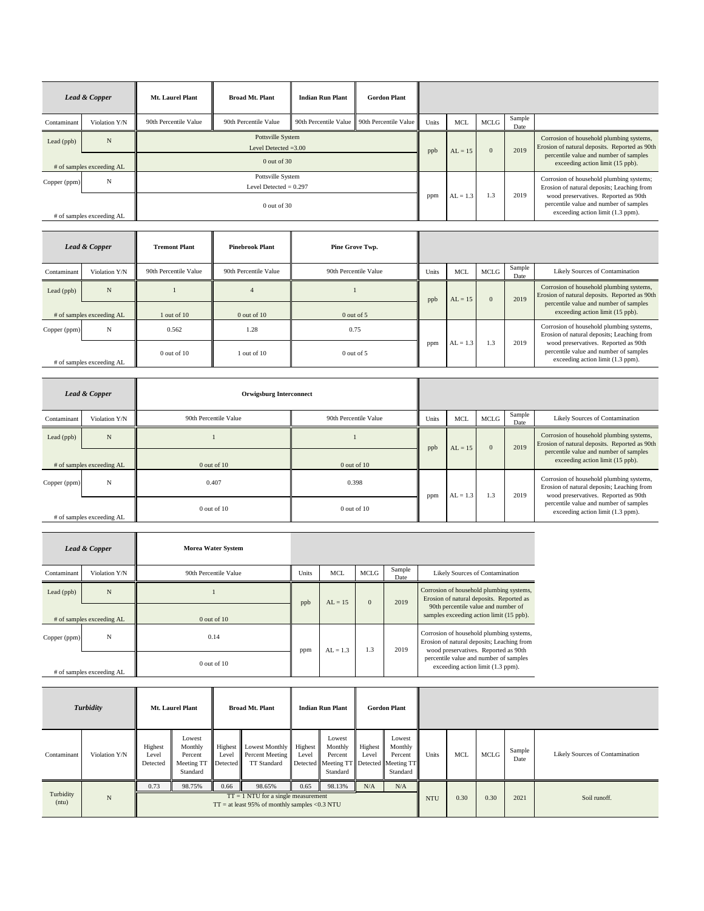|              | Lead & Copper             | Mt. Laurel Plant      | <b>Broad Mt. Plant</b>                        | <b>Indian Run Plant</b> | <b>Gordon Plant</b>                         |              |            |                                                                                           |                                                                                        |                                                                                                                     |
|--------------|---------------------------|-----------------------|-----------------------------------------------|-------------------------|---------------------------------------------|--------------|------------|-------------------------------------------------------------------------------------------|----------------------------------------------------------------------------------------|---------------------------------------------------------------------------------------------------------------------|
| Contaminant  | Violation Y/N             | 90th Percentile Value | 90th Percentile Value                         |                         | 90th Percentile Value 90th Percentile Value | <b>Units</b> | <b>MCL</b> | <b>MCLG</b>                                                                               | Sample<br>Date                                                                         |                                                                                                                     |
| Lead $(ppb)$ | N                         |                       | Pottsville System<br>Level Detected $=3.00$   | ppb                     | $AL = 15$                                   | $\mathbf{0}$ | 2019       | Corrosion of household plumbing systems,<br>Erosion of natural deposits. Reported as 90th |                                                                                        |                                                                                                                     |
|              | # of samples exceeding AL |                       | $0$ out of $30$                               |                         |                                             |              |            |                                                                                           | percentile value and number of samples<br>exceeding action limit (15 ppb).             |                                                                                                                     |
| Copper (ppm) | N                         |                       | Pottsville System<br>Level Detected $= 0.297$ |                         |                                             |              |            |                                                                                           | Corrosion of household plumbing systems;<br>Erosion of natural deposits; Leaching from |                                                                                                                     |
|              | # of samples exceeding AL |                       | $0$ out of 30                                 |                         |                                             |              | $AL = 1.3$ | 1.3                                                                                       | 2019                                                                                   | wood preservatives. Reported as 90th<br>percentile value and number of samples<br>exceeding action limit (1.3 ppm). |

|              | Lead & Copper             | <b>Tremont Plant</b>  | <b>Pinebrook Plant</b> | Pine Grove Twp.       |              |            |             |                |                                                                                                                     |
|--------------|---------------------------|-----------------------|------------------------|-----------------------|--------------|------------|-------------|----------------|---------------------------------------------------------------------------------------------------------------------|
| Contaminant  | Violation Y/N             | 90th Percentile Value | 90th Percentile Value  | 90th Percentile Value | <b>Units</b> | MCL        | <b>MCLG</b> | Sample<br>Date | Likely Sources of Contamination                                                                                     |
| Lead $(ppb)$ | N                         |                       |                        |                       | ppb          | $AL = 15$  | $\Omega$    | 2019           | Corrosion of household plumbing systems,<br>Erosion of natural deposits. Reported as 90th                           |
|              | # of samples exceeding AL | $1$ out of $10$       | $0$ out of $10$        | $0$ out of 5          |              |            |             |                | percentile value and number of samples<br>exceeding action limit (15 ppb).                                          |
| Copper (ppm) | N                         | 0.562                 | 1.28                   | 0.75                  |              |            |             |                | Corrosion of household plumbing systems,<br>Erosion of natural deposits; Leaching from                              |
|              | # of samples exceeding AL | $0$ out of $10$       | $1$ out of $10$        | $0$ out of 5          | ppm          | $AL = 1.3$ | 1.3         | 2019           | wood preservatives. Reported as 90th<br>percentile value and number of samples<br>exceeding action limit (1.3 ppm). |

|              | Lead & Copper             | <b>Orwigsburg Interconnect</b> |                       |              |            |              |                |                                                                                                                                |
|--------------|---------------------------|--------------------------------|-----------------------|--------------|------------|--------------|----------------|--------------------------------------------------------------------------------------------------------------------------------|
| Contaminant  | Violation Y/N             | 90th Percentile Value          | 90th Percentile Value | <b>Units</b> | <b>MCL</b> | <b>MCLG</b>  | Sample<br>Date | Likely Sources of Contamination                                                                                                |
| Lead (ppb)   | $\mathbf N$               |                                |                       | ppb          | $AL = 15$  | $\mathbf{0}$ | 2019           | Corrosion of household plumbing systems,<br>Erosion of natural deposits. Reported as 90th                                      |
|              | # of samples exceeding AL | $0$ out of $10$                | $0$ out of $10$       |              |            |              |                | percentile value and number of samples<br>exceeding action limit (15 ppb).                                                     |
| Copper (ppm) | N                         | 0.407                          | 0.398                 | ppm          | $AL = 1.3$ | 1.3          | 2019           | Corrosion of household plumbing systems,<br>Erosion of natural deposits; Leaching from<br>wood preservatives. Reported as 90th |
|              | # of samples exceeding AL | $0$ out of $10$                | $0$ out of $10$       |              |            |              |                | percentile value and number of samples<br>exceeding action limit (1.3 ppm).                                                    |

|              | <b>Lead &amp; Copper</b>  | <b>Morea Water System</b> |       |            |              |                |                                                                                                                                |
|--------------|---------------------------|---------------------------|-------|------------|--------------|----------------|--------------------------------------------------------------------------------------------------------------------------------|
| Contaminant  | Violation Y/N             | 90th Percentile Value     | Units | <b>MCL</b> | MCLG         | Sample<br>Date | Likely Sources of Contamination                                                                                                |
| Lead (ppb)   | N                         |                           | ppb   | $AL = 15$  | $\mathbf{0}$ | 2019           | Corrosion of household plumbing systems,<br>Erosion of natural deposits. Reported as<br>90th percentile value and number of    |
|              | # of samples exceeding AL | $0$ out of $10$           |       |            |              |                | samples exceeding action limit (15 ppb).                                                                                       |
| Copper (ppm) | N                         | 0.14                      | ppm   | $AL = 1.3$ | 1.3          | 2019           | Corrosion of household plumbing systems,<br>Erosion of natural deposits; Leaching from<br>wood preservatives. Reported as 90th |
|              | # of samples exceeding AL | $0$ out of $10$           |       |            |              |                | percentile value and number of samples<br>exceeding action limit (1.3 ppm).                                                    |

|                    | Turbidity     |                              | Mt. Laurel Plant                                                |                  | <b>Broad Mt. Plant</b>                           |                    | <b>Indian Run Plant</b>                                                             |                  | <b>Gordon Plant</b>                      |            |            |             |                |                                 |
|--------------------|---------------|------------------------------|-----------------------------------------------------------------|------------------|--------------------------------------------------|--------------------|-------------------------------------------------------------------------------------|------------------|------------------------------------------|------------|------------|-------------|----------------|---------------------------------|
| Contaminant        | Violation Y/N | Highest<br>Level<br>Detected | Lowest<br>Monthly<br>Percent<br>Meeting TT Detected<br>Standard | Highest<br>Level | Lowest Monthly<br>Percent Meeting<br>TT Standard | Highest  <br>Level | Lowest<br>Monthly<br>Percent<br>Detected Meeting TT Detected Meeting TT<br>Standard | Highest<br>Level | Lowest<br>Monthly<br>Percent<br>Standard | Units      | <b>MCL</b> | <b>MCLG</b> | Sample<br>Date | Likely Sources of Contamination |
| Turbidity<br>(ntu) | $\mathbf N$   | 0.73                         | 98.75%                                                          | 0.66             | 98.65%<br>$TT = 1$ NTU for a single measurement  | 0.65               | 98.13%                                                                              | N/A              | N/A                                      | <b>NTU</b> | 0.30       | 0.30        | 2021           | Soil runoff.                    |
|                    |               |                              |                                                                 |                  | $TT =$ at least 95% of monthly samples <0.3 NTU  |                    |                                                                                     |                  |                                          |            |            |             |                |                                 |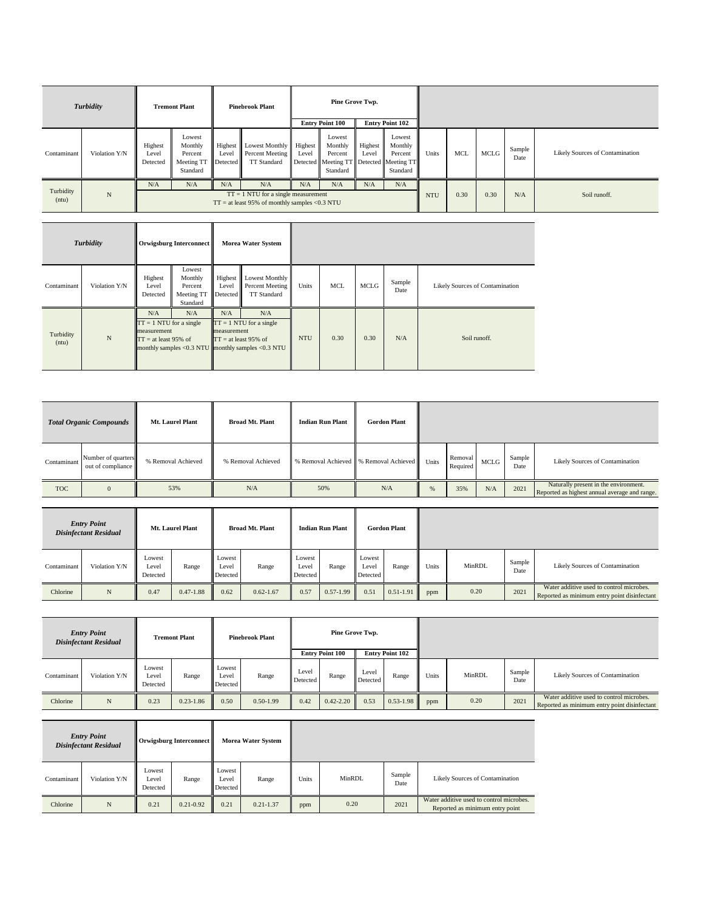|                    | Turbidity     |                              | <b>Tremont Plant</b>                                            |                  | <b>Pinebrook Plant</b>                                                                          |                  | Pine Grove Twp.                                                                     |                  |                                          |              |      |      |                |                                 |
|--------------------|---------------|------------------------------|-----------------------------------------------------------------|------------------|-------------------------------------------------------------------------------------------------|------------------|-------------------------------------------------------------------------------------|------------------|------------------------------------------|--------------|------|------|----------------|---------------------------------|
|                    |               |                              |                                                                 |                  |                                                                                                 |                  | <b>Entry Point 100</b>                                                              |                  | <b>Entry Point 102</b>                   |              |      |      |                |                                 |
| Contaminant        | Violation Y/N | Highest<br>Level<br>Detected | Lowest<br>Monthly<br>Percent<br>Meeting TT Detected<br>Standard | Highest<br>Level | <b>Lowest Monthly</b><br>Percent Meeting<br>TT Standard                                         | Highest<br>Level | Lowest<br>Monthly<br>Percent<br>Detected Meeting TT Detected Meeting TT<br>Standard | Highest<br>Level | Lowest<br>Monthly<br>Percent<br>Standard | <b>Units</b> | MCL  | MCLG | Sample<br>Date | Likely Sources of Contamination |
| Turbidity<br>(ntu) | $\mathbf N$   | N/A                          | N/A                                                             | N/A              | N/A<br>$TT = 1$ NTU for a single measurement<br>$TT =$ at least 95% of monthly samples <0.3 NTU | N/A              | N/A                                                                                 | N/A              | N/A                                      | <b>NTU</b>   | 0.30 | 0.30 | N/A            | Soil runoff.                    |

|                    | Turbidity     |                                                                            | Orwigsburg Interconnect                                |                              | <b>Morea Water System</b>                                                                                              |            |            |             |                |                                 |
|--------------------|---------------|----------------------------------------------------------------------------|--------------------------------------------------------|------------------------------|------------------------------------------------------------------------------------------------------------------------|------------|------------|-------------|----------------|---------------------------------|
| Contaminant        | Violation Y/N | Highest<br>Level<br>Detected                                               | Lowest<br>Monthly<br>Percent<br>Meeting TT<br>Standard | Highest<br>Level<br>Detected | <b>Lowest Monthly</b><br>Percent Meeting<br>TT Standard                                                                | Units      | <b>MCL</b> | <b>MCLG</b> | Sample<br>Date | Likely Sources of Contamination |
| Turbidity<br>(ntu) | N             | N/A<br>$TT = 1 NTU$ for a single<br>measurement<br>$TT = at least 95\%$ of | N/A                                                    | N/A<br>measurement           | N/A<br>$TT = 1 NTU$ for a single<br>$TT = at least 95\%$ of<br>monthly samples < $0.3$ NTU monthly samples < $0.3$ NTU | <b>NTU</b> | 0.30       | 0.30        | N/A            | Soil runoff.                    |

|             | <b>Total Organic Compounds</b>          | <b>Mt. Laurel Plant</b> | <b>Broad Mt. Plant</b> | <b>Indian Run Plant</b> | <b>Gordon Plant</b>                     |       |                     |      |                |                                                                                        |
|-------------|-----------------------------------------|-------------------------|------------------------|-------------------------|-----------------------------------------|-------|---------------------|------|----------------|----------------------------------------------------------------------------------------|
| Contaminant | Number of quarters<br>out of compliance | % Removal Achieved      | % Removal Achieved     |                         | % Removal Achieved   % Removal Achieved | Units | Removal<br>Required | MCLG | Sample<br>Date | <b>Likely Sources of Contamination</b>                                                 |
| <b>TOC</b>  | $\mathbf{0}$                            | 53%                     | N/A                    | 50%                     | N/A                                     | $\%$  | 35%                 | N/A  | 2021           | Naturally present in the environment.<br>Reported as highest annual average and range. |

| <b>Entry Point</b><br><b>Disinfectant Residual</b> |               | Mt. Laurel Plant            |               | <b>Broad Mt. Plant</b>      |               | <b>Indian Run Plant</b>     |               | <b>Gordon Plant</b>         |               |       |        |                |                                                                                          |
|----------------------------------------------------|---------------|-----------------------------|---------------|-----------------------------|---------------|-----------------------------|---------------|-----------------------------|---------------|-------|--------|----------------|------------------------------------------------------------------------------------------|
| Contaminant                                        | Violation Y/N | Lowest<br>Level<br>Detected | Range         | Lowest<br>Level<br>Detected | Range         | Lowest<br>Level<br>Detected | Range         | Lowest<br>Level<br>Detected | Range         | Units | MinRDL | Sample<br>Date | <b>Likely Sources of Contamination</b>                                                   |
| Chlorine                                           | N             | 0.47                        | $0.47 - 1.88$ | 0.62                        | $0.62 - 1.67$ | 0.57                        | $0.57 - 1.99$ | 0.51                        | $0.51 - 1.91$ | ppm   | 0.20   | 2021           | Water additive used to control microbes.<br>Reported as minimum entry point disinfectant |

| <b>Entry Point</b><br><b>Disinfectant Residual</b> |               | <b>Tremont Plant</b>        |               | <b>Pinebrook Plant</b>      |               | Pine Grove Twp.        |               |                        |               |       |        |                |                                                                                          |
|----------------------------------------------------|---------------|-----------------------------|---------------|-----------------------------|---------------|------------------------|---------------|------------------------|---------------|-------|--------|----------------|------------------------------------------------------------------------------------------|
|                                                    |               |                             |               |                             |               | <b>Entry Point 100</b> |               | <b>Entry Point 102</b> |               |       |        |                |                                                                                          |
| Contaminant                                        | Violation Y/N | Lowest<br>Level<br>Detected | Range         | Lowest<br>Level<br>Detected | Range         | Level<br>Detected      | Range         | Level<br>Detected      | Range         | Units | MinRDL | Sample<br>Date | Likely Sources of Contamination                                                          |
| Chlorine                                           | N             | 0.23                        | $0.23 - 1.86$ | 0.50                        | $0.50 - 1.99$ | 0.42                   | $0.42 - 2.20$ | 0.53                   | $0.53 - 1.98$ | ppm   | 0.20   | 2021           | Water additive used to control microbes.<br>Reported as minimum entry point disinfectant |

| <b>Entry Point</b><br><b>Disinfectant Residual</b> |               |                             | <b>Orwigsburg Interconnect</b> |                             | <b>Morea Water System</b> |       |        |                |                                                                             |
|----------------------------------------------------|---------------|-----------------------------|--------------------------------|-----------------------------|---------------------------|-------|--------|----------------|-----------------------------------------------------------------------------|
| Contaminant                                        | Violation Y/N | Lowest<br>Level<br>Detected | Range                          | Lowest<br>Level<br>Detected | Range                     | Units | MinRDL | Sample<br>Date | Likely Sources of Contamination                                             |
| Chlorine                                           | N             | 0.21                        | $0.21 - 0.92$                  | 0.21                        | $0.21 - 1.37$             | ppm   | 0.20   | 2021           | Water additive used to control microbes.<br>Reported as minimum entry point |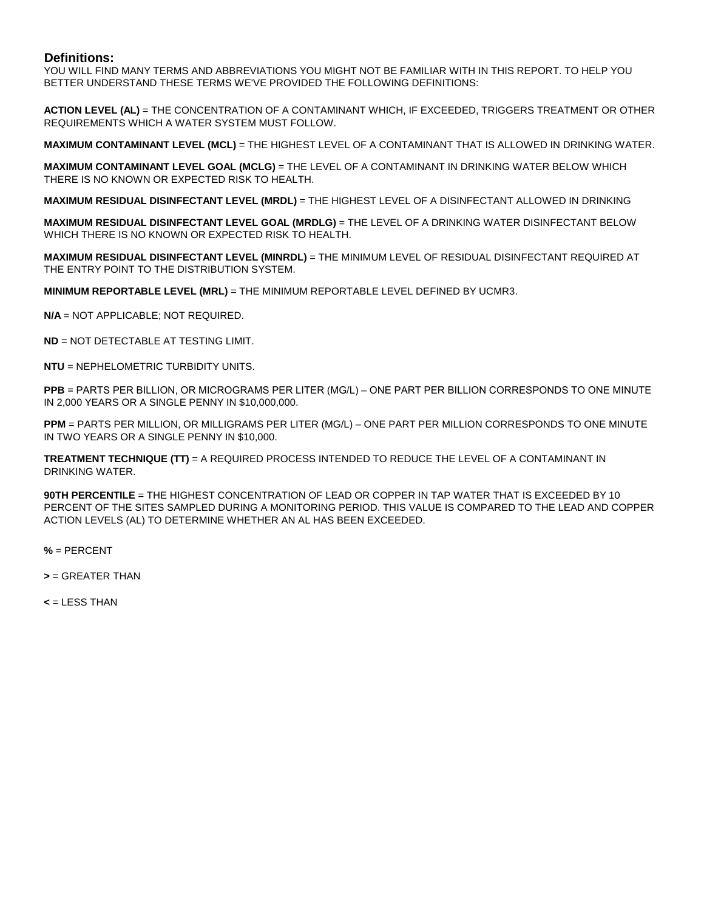#### **Definitions:**

YOU WILL FIND MANY TERMS AND ABBREVIATIONS YOU MIGHT NOT BE FAMILIAR WITH IN THIS REPORT. TO HELP YOU BETTER UNDERSTAND THESE TERMS WE'VE PROVIDED THE FOLLOWING DEFINITIONS:

**ACTION LEVEL (AL)** = THE CONCENTRATION OF A CONTAMINANT WHICH, IF EXCEEDED, TRIGGERS TREATMENT OR OTHER REQUIREMENTS WHICH A WATER SYSTEM MUST FOLLOW.

**MAXIMUM CONTAMINANT LEVEL (MCL)** = THE HIGHEST LEVEL OF A CONTAMINANT THAT IS ALLOWED IN DRINKING WATER.

**MAXIMUM CONTAMINANT LEVEL GOAL (MCLG)** = THE LEVEL OF A CONTAMINANT IN DRINKING WATER BELOW WHICH THERE IS NO KNOWN OR EXPECTED RISK TO HEALTH.

**MAXIMUM RESIDUAL DISINFECTANT LEVEL (MRDL)** = THE HIGHEST LEVEL OF A DISINFECTANT ALLOWED IN DRINKING

**MAXIMUM RESIDUAL DISINFECTANT LEVEL GOAL (MRDLG)** = THE LEVEL OF A DRINKING WATER DISINFECTANT BELOW WHICH THERE IS NO KNOWN OR EXPECTED RISK TO HEALTH.

**MAXIMUM RESIDUAL DISINFECTANT LEVEL (MINRDL)** = THE MINIMUM LEVEL OF RESIDUAL DISINFECTANT REQUIRED AT THE ENTRY POINT TO THE DISTRIBUTION SYSTEM.

**MINIMUM REPORTABLE LEVEL (MRL)** = THE MINIMUM REPORTABLE LEVEL DEFINED BY UCMR3.

**N/A** = NOT APPLICABLE; NOT REQUIRED.

**ND** = NOT DETECTABLE AT TESTING LIMIT.

**NTU** = NEPHELOMETRIC TURBIDITY UNITS.

**PPB** = PARTS PER BILLION, OR MICROGRAMS PER LITER (ΜG/L) – ONE PART PER BILLION CORRESPONDS TO ONE MINUTE IN 2,000 YEARS OR A SINGLE PENNY IN \$10,000,000.

**PPM** = PARTS PER MILLION, OR MILLIGRAMS PER LITER (MG/L) – ONE PART PER MILLION CORRESPONDS TO ONE MINUTE IN TWO YEARS OR A SINGLE PENNY IN \$10,000.

**TREATMENT TECHNIQUE (TT)** = A REQUIRED PROCESS INTENDED TO REDUCE THE LEVEL OF A CONTAMINANT IN DRINKING WATER.

**90TH PERCENTILE** = THE HIGHEST CONCENTRATION OF LEAD OR COPPER IN TAP WATER THAT IS EXCEEDED BY 10 PERCENT OF THE SITES SAMPLED DURING A MONITORING PERIOD. THIS VALUE IS COMPARED TO THE LEAD AND COPPER ACTION LEVELS (AL) TO DETERMINE WHETHER AN AL HAS BEEN EXCEEDED.

**%** = PERCENT

**>** = GREATER THAN

**<** = LESS THAN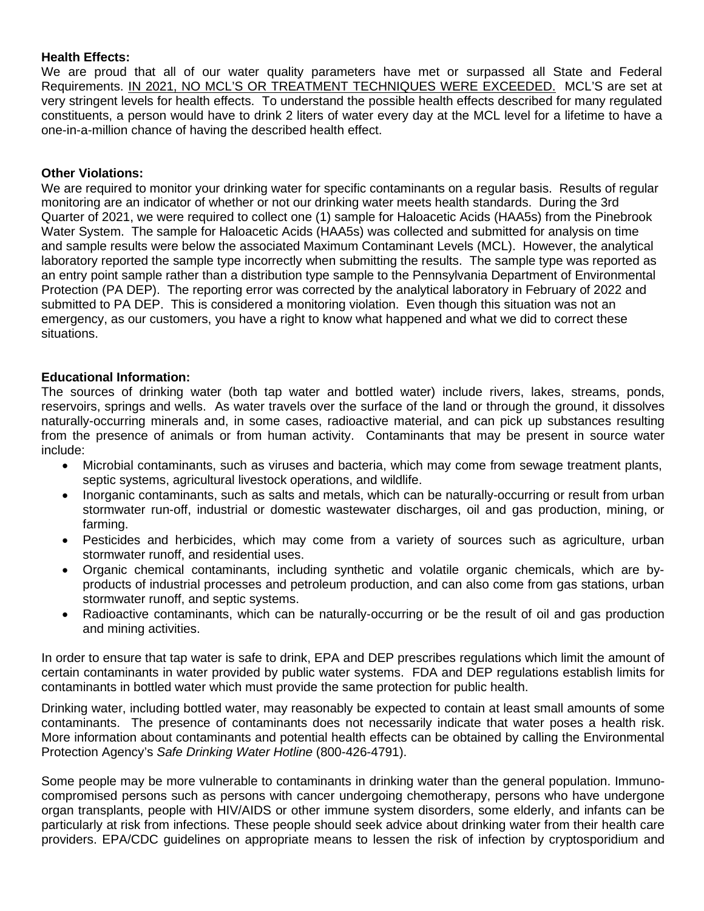## **Health Effects:**

We are proud that all of our water quality parameters have met or surpassed all State and Federal Requirements. IN 2021, NO MCL'S OR TREATMENT TECHNIQUES WERE EXCEEDED. MCL'S are set at very stringent levels for health effects. To understand the possible health effects described for many regulated constituents, a person would have to drink 2 liters of water every day at the MCL level for a lifetime to have a one-in-a-million chance of having the described health effect.

### **Other Violations:**

We are required to monitor your drinking water for specific contaminants on a regular basis. Results of regular monitoring are an indicator of whether or not our drinking water meets health standards. During the 3rd Quarter of 2021, we were required to collect one (1) sample for Haloacetic Acids (HAA5s) from the Pinebrook Water System. The sample for Haloacetic Acids (HAA5s) was collected and submitted for analysis on time and sample results were below the associated Maximum Contaminant Levels (MCL). However, the analytical laboratory reported the sample type incorrectly when submitting the results. The sample type was reported as an entry point sample rather than a distribution type sample to the Pennsylvania Department of Environmental Protection (PA DEP). The reporting error was corrected by the analytical laboratory in February of 2022 and submitted to PA DEP. This is considered a monitoring violation. Even though this situation was not an emergency, as our customers, you have a right to know what happened and what we did to correct these situations.

### **Educational Information:**

The sources of drinking water (both tap water and bottled water) include rivers, lakes, streams, ponds, reservoirs, springs and wells. As water travels over the surface of the land or through the ground, it dissolves naturally-occurring minerals and, in some cases, radioactive material, and can pick up substances resulting from the presence of animals or from human activity. Contaminants that may be present in source water include:

- Microbial contaminants, such as viruses and bacteria, which may come from sewage treatment plants, septic systems, agricultural livestock operations, and wildlife.
- Inorganic contaminants, such as salts and metals, which can be naturally-occurring or result from urban stormwater run-off, industrial or domestic wastewater discharges, oil and gas production, mining, or farming.
- Pesticides and herbicides, which may come from a variety of sources such as agriculture, urban stormwater runoff, and residential uses.
- Organic chemical contaminants, including synthetic and volatile organic chemicals, which are byproducts of industrial processes and petroleum production, and can also come from gas stations, urban stormwater runoff, and septic systems.
- Radioactive contaminants, which can be naturally-occurring or be the result of oil and gas production and mining activities.

In order to ensure that tap water is safe to drink, EPA and DEP prescribes regulations which limit the amount of certain contaminants in water provided by public water systems. FDA and DEP regulations establish limits for contaminants in bottled water which must provide the same protection for public health.

Drinking water, including bottled water, may reasonably be expected to contain at least small amounts of some contaminants. The presence of contaminants does not necessarily indicate that water poses a health risk. More information about contaminants and potential health effects can be obtained by calling the Environmental Protection Agency's *Safe Drinking Water Hotline* (800-426-4791).

Some people may be more vulnerable to contaminants in drinking water than the general population. Immunocompromised persons such as persons with cancer undergoing chemotherapy, persons who have undergone organ transplants, people with HIV/AIDS or other immune system disorders, some elderly, and infants can be particularly at risk from infections. These people should seek advice about drinking water from their health care providers. EPA/CDC guidelines on appropriate means to lessen the risk of infection by cryptosporidium and